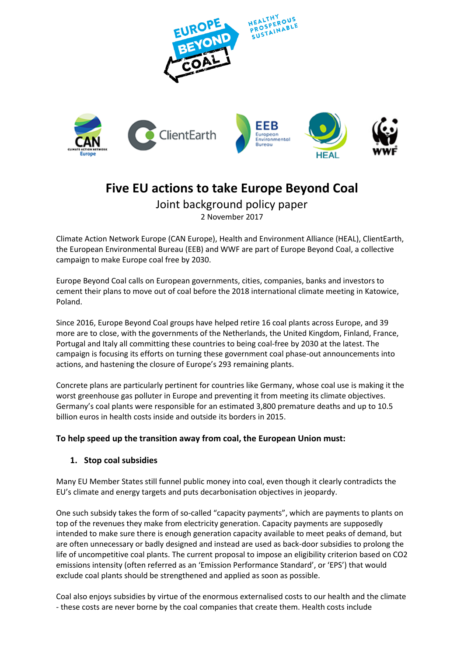

# **Five EU actions to take Europe Beyond Coal**

Joint background policy paper 2 November 2017

Climate Action Network Europe (CAN Europe), Health and Environment Alliance (HEAL), ClientEarth, the European Environmental Bureau (EEB) and WWF are part of Europe Beyond Coal, a collective campaign to make Europe coal free by 2030.

Europe Beyond Coal calls on European governments, cities, companies, banks and investors to cement their plans to move out of coal before the 2018 international climate meeting in Katowice, Poland.

Since 2016, Europe Beyond Coal groups have helped retire 16 coal plants across Europe, and 39 more are to close, with the governments of the Netherlands, the United Kingdom, Finland, France, Portugal and Italy all committing these countries to being coal-free by 2030 at the latest. The campaign is focusing its efforts on turning these government coal phase-out announcements into actions, and hastening the closure of Europe's 293 remaining plants.

Concrete plans are particularly pertinent for countries like Germany, whose coal use is making it the worst greenhouse gas polluter in Europe and preventing it from meeting its climate objectives. Germany's coal plants were responsible for an estimated 3,800 premature deaths and up to 10.5 billion euros in health costs inside and outside its borders in 2015.

# **To help speed up the transition away from coal, the European Union must:**

### **1. Stop coal subsidies**

Many EU Member States still funnel public money into coal, even though it clearly contradicts the EU's climate and energy targets and puts decarbonisation objectives in jeopardy.

One such subsidy takes the form of so-called "capacity payments", which are payments to plants on top of the revenues they make from electricity generation. Capacity payments are supposedly intended to make sure there is enough generation capacity available to meet peaks of demand, but are often unnecessary or badly designed and instead are used as back-door subsidies to prolong the life of uncompetitive coal plants. The current proposal to impose an eligibility criterion based on CO2 emissions intensity (often referred as an 'Emission Performance Standard', or 'EPS') that would exclude coal plants should be strengthened and applied as soon as possible.

Coal also enjoys subsidies by virtue of the enormous externalised costs to our health and the climate - these costs are never borne by the coal companies that create them. Health costs include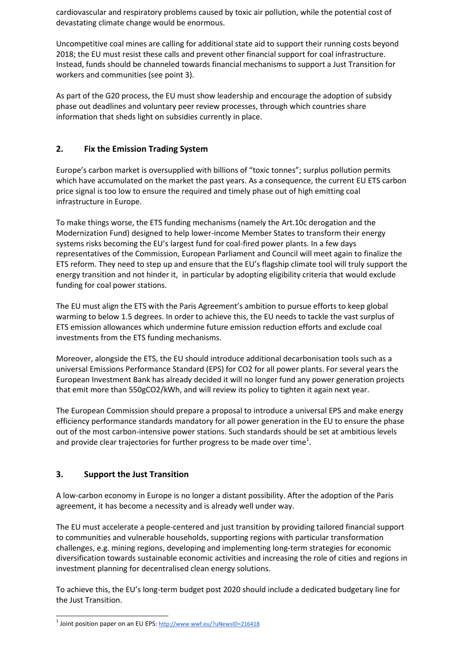cardiovascular and respiratory problems caused by toxic air pollution, while the potential cost of devastating climate change would be enormous.

Uncompetitive coal mines are calling for additional state aid to support their running costs beyond 2018; the EU must resist these calls and prevent other financial support for coal infrastructure. Instead, funds should be channeled towards financial mechanisms to support a Just Transition for workers and communities (see point 3).

As part of the G20 process, the EU must show leadership and encourage the adoption of subsidy phase out deadlines and voluntary peer review processes, through which countries share information that sheds light on subsidies currently in place.

# **2. Fix the Emission Trading System**

Europe's carbon market is oversupplied with billions of "toxic tonnes"; surplus pollution permits which have accumulated on the market the past years. As a consequence, the current EU ETS carbon price signal is too low to ensure the required and timely phase out of high emitting coal infrastructure in Europe.

To make things worse, the ETS funding mechanisms (namely the Art.10c derogation and the Modernization Fund) designed to help lower-income Member States to transform their energy systems risks becoming the EU's largest fund for coal-fired power plants. In a few days representatives of the Commission, European Parliament and Council will meet again to finalize the ETS reform. They need to step up and ensure that the EU's flagship climate tool will truly support the energy transition and not hinder it, in particular by adopting eligibility criteria that would exclude funding for coal power stations.

The EU must align the ETS with the Paris Agreement's ambition to pursue efforts to keep global warming to below 1.5 degrees. In order to achieve this, the EU needs to tackle the vast surplus of ETS emission allowances which undermine future emission reduction efforts and exclude coal investments from the ETS funding mechanisms.

Moreover, alongside the ETS, the EU should introduce additional decarbonisation tools such as a universal Emissions Performance Standard (EPS) for CO2 for all power plants. For several years the European Investment Bank has already decided it will no longer fund any power generation projects that emit more than 550gCO2/kWh, and will review its policy to tighten it again next year.

The European Commission should prepare a proposal to introduce a universal EPS and make energy efficiency performance standards mandatory for all power generation in the EU to ensure the phase out of the most carbon-intensive power stations. Such standards should be set at ambitious levels and provide clear trajectories for further progress to be made over time<sup>1</sup>.

# **3. Support the Just Transition**

A low-carbon economy in Europe is no longer a distant possibility. After the adoption of the Paris agreement, it has become a necessity and is already well under way.

The EU must accelerate a people-centered and just transition by providing tailored financial support to communities and vulnerable households, supporting regions with particular transformation challenges, e.g. mining regions, developing and implementing long-term strategies for economic diversification towards sustainable economic activities and increasing the role of cities and regions in investment planning for decentralised clean energy solutions.

To achieve this, the EU's long-term budget post 2020 should include a dedicated budgetary line for the Just Transition.

 1 Joint position paper on an EU EPS: <http://www.wwf.eu/?uNewsID=216418>